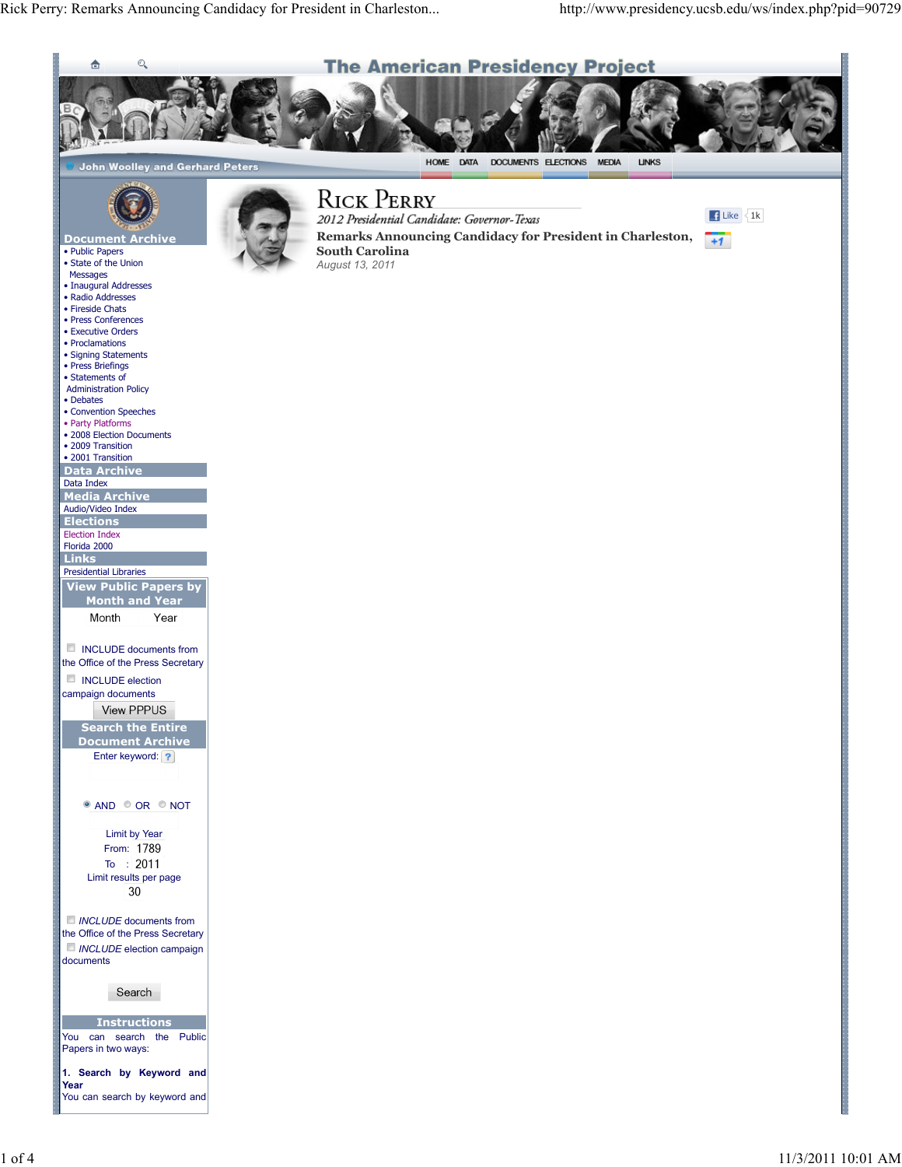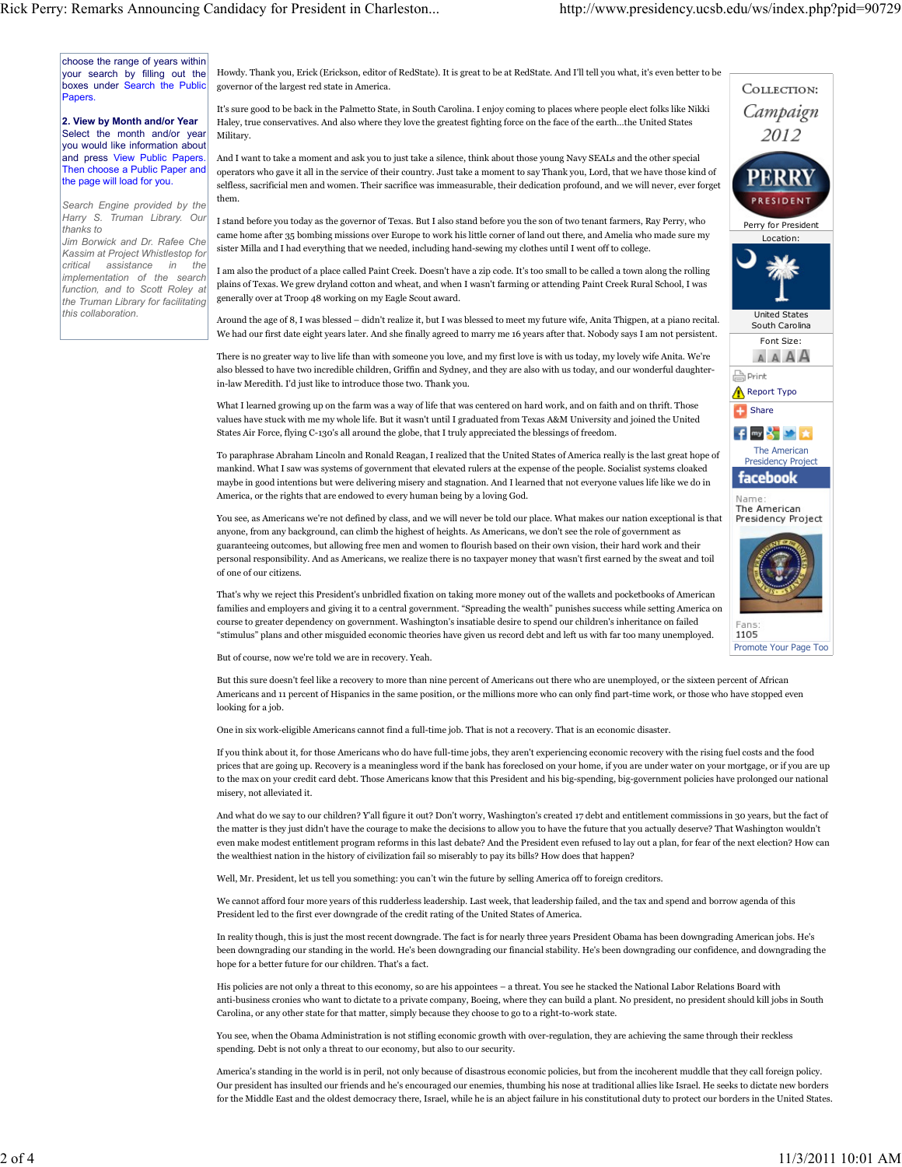**Share** 

A Print

Report Typo

The American Presidency Project

 $f$  my  $8 \times x$ 

facebook Name The American Presidency Project

Promote Your Page Too

1105

Perry for President Location:

**ESIDEN** 

COLLECTION: Campaign 2012

> United States South Carolina Font Size:

AAAA

choose the range of years within your search by filling out the boxes under Search the Public **Papers** 

2. View by Month and/or Year Select the month and/or year you would like information about and press View Public Papers. Then choose a Public Paper and the page will load for you.

Search Engine provided by the Harry S. Truman Library. Our thanks to

Jim Borwick and Dr. Rafee Che Kassim at Project Whistlestop for critical assistance in the implementation of the search function, and to Scott Roley at the Truman Library for facilitating this collaboration.

Howdy. Thank you, Erick (Erickson, editor of RedState). It is great to be at RedState. And I'll tell you what, it's even better to be governor of the largest red state in America.

It's sure good to be back in the Palmetto State, in South Carolina. I enjoy coming to places where people elect folks like Nikki Haley, true conservatives. And also where they love the greatest fighting force on the face of the earth…the United States Military.

And I want to take a moment and ask you to just take a silence, think about those young Navy SEALs and the other special operators who gave it all in the service of their country. Just take a moment to say Thank you, Lord, that we have those kind of selfless, sacrificial men and women. Their sacrifice was immeasurable, their dedication profound, and we will never, ever forget them.

I stand before you today as the governor of Texas. But I also stand before you the son of two tenant farmers, Ray Perry, who came home after 35 bombing missions over Europe to work his little corner of land out there, and Amelia who made sure my sister Milla and I had everything that we needed, including hand-sewing my clothes until I went off to college.

I am also the product of a place called Paint Creek. Doesn't have a zip code. It's too small to be called a town along the rolling plains of Texas. We grew dryland cotton and wheat, and when I wasn't farming or attending Paint Creek Rural School, I was generally over at Troop 48 working on my Eagle Scout award.

Around the age of 8, I was blessed – didn't realize it, but I was blessed to meet my future wife, Anita Thigpen, at a piano recital. We had our first date eight years later. And she finally agreed to marry me 16 years after that. Nobody says I am not persistent.

There is no greater way to live life than with someone you love, and my first love is with us today, my lovely wife Anita. We're also blessed to have two incredible children, Griffin and Sydney, and they are also with us today, and our wonderful daughterin-law Meredith. I'd just like to introduce those two. Thank you.

What I learned growing up on the farm was a way of life that was centered on hard work, and on faith and on thrift. Those values have stuck with me my whole life. But it wasn't until I graduated from Texas A&M University and joined the United States Air Force, flying C-130's all around the globe, that I truly appreciated the blessings of freedom.

To paraphrase Abraham Lincoln and Ronald Reagan, I realized that the United States of America really is the last great hope of mankind. What I saw was systems of government that elevated rulers at the expense of the people. Socialist systems cloaked maybe in good intentions but were delivering misery and stagnation. And I learned that not everyone values life like we do in America, or the rights that are endowed to every human being by a loving God.

You see, as Americans we're not defined by class, and we will never be told our place. What makes our nation exceptional is that anyone, from any background, can climb the highest of heights. As Americans, we don't see the role of government as guaranteeing outcomes, but allowing free men and women to flourish based on their own vision, their hard work and their personal responsibility. And as Americans, we realize there is no taxpayer money that wasn't first earned by the sweat and toil of one of our citizens.

That's why we reject this President's unbridled fixation on taking more money out of the wallets and pocketbooks of American families and employers and giving it to a central government. "Spreading the wealth" punishes success while setting America on course to greater dependency on government. Washington's insatiable desire to spend our children's inheritance on failed "stimulus" plans and other misguided economic theories have given us record debt and left us with far too many unemployed.

But of course, now we're told we are in recovery. Yeah.

But this sure doesn't feel like a recovery to more than nine percent of Americans out there who are unemployed, or the sixteen percent of African Americans and 11 percent of Hispanics in the same position, or the millions more who can only find part-time work, or those who have stopped even looking for a job.

One in six work-eligible Americans cannot find a full-time job. That is not a recovery. That is an economic disaster.

If you think about it, for those Americans who do have full-time jobs, they aren't experiencing economic recovery with the rising fuel costs and the food prices that are going up. Recovery is a meaningless word if the bank has foreclosed on your home, if you are under water on your mortgage, or if you are up to the max on your credit card debt. Those Americans know that this President and his big-spending, big-government policies have prolonged our national misery, not alleviated it.

And what do we say to our children? Y'all figure it out? Don't worry, Washington's created 17 debt and entitlement commissions in 30 years, but the fact of the matter is they just didn't have the courage to make the decisions to allow you to have the future that you actually deserve? That Washington wouldn't even make modest entitlement program reforms in this last debate? And the President even refused to lay out a plan, for fear of the next election? How can the wealthiest nation in the history of civilization fail so miserably to pay its bills? How does that happen?

Well, Mr. President, let us tell you something: you can't win the future by selling America off to foreign creditors.

We cannot afford four more years of this rudderless leadership. Last week, that leadership failed, and the tax and spend and borrow agenda of this President led to the first ever downgrade of the credit rating of the United States of America.

In reality though, this is just the most recent downgrade. The fact is for nearly three years President Obama has been downgrading American jobs. He's been downgrading our standing in the world. He's been downgrading our financial stability. He's been downgrading our confidence, and downgrading the hope for a better future for our children. That's a fact.

His policies are not only a threat to this economy, so are his appointees – a threat. You see he stacked the National Labor Relations Board with anti-business cronies who want to dictate to a private company, Boeing, where they can build a plant. No president, no president should kill jobs in South Carolina, or any other state for that matter, simply because they choose to go to a right-to-work state.

You see, when the Obama Administration is not stifling economic growth with over-regulation, they are achieving the same through their reckless spending. Debt is not only a threat to our economy, but also to our security.

America's standing in the world is in peril, not only because of disastrous economic policies, but from the incoherent muddle that they call foreign policy. Our president has insulted our friends and he's encouraged our enemies, thumbing his nose at traditional allies like Israel. He seeks to dictate new borders for the Middle East and the oldest democracy there, Israel, while he is an abject failure in his constitutional duty to protect our borders in the United States.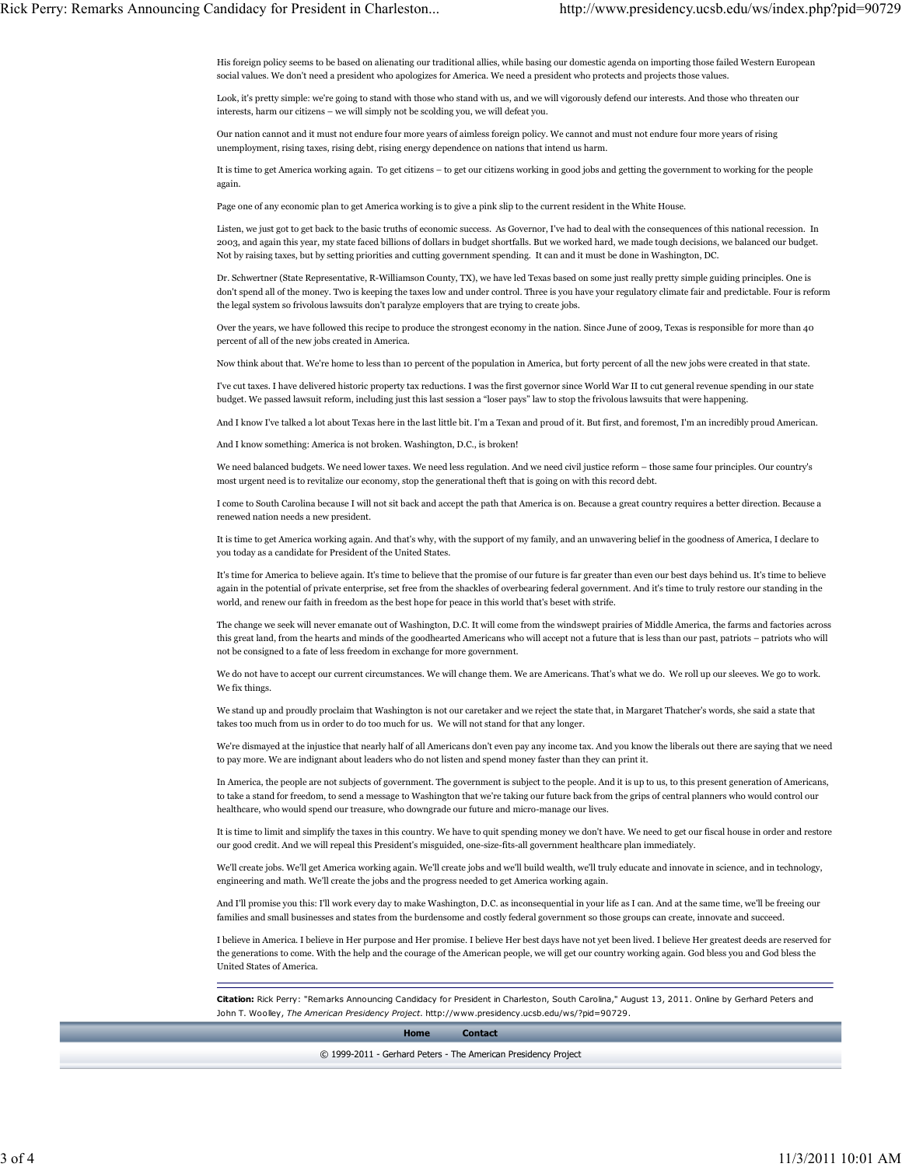His foreign policy seems to be based on alienating our traditional allies, while basing our domestic agenda on importing those failed Western European social values. We don't need a president who apologizes for America. We need a president who protects and projects those values.

Look, it's pretty simple: we're going to stand with those who stand with us, and we will vigorously defend our interests. And those who threaten our interests, harm our citizens – we will simply not be scolding you, we will defeat you.

Our nation cannot and it must not endure four more years of aimless foreign policy. We cannot and must not endure four more years of rising unemployment, rising taxes, rising debt, rising energy dependence on nations that intend us harm.

It is time to get America working again. To get citizens – to get our citizens working in good jobs and getting the government to working for the people again.

Page one of any economic plan to get America working is to give a pink slip to the current resident in the White House.

Listen, we just got to get back to the basic truths of economic success. As Governor, I've had to deal with the consequences of this national recession. In 2003, and again this year, my state faced billions of dollars in budget shortfalls. But we worked hard, we made tough decisions, we balanced our budget. Not by raising taxes, but by setting priorities and cutting government spending. It can and it must be done in Washington, DC.

Dr. Schwertner (State Representative, R-Williamson County, TX), we have led Texas based on some just really pretty simple guiding principles. One is don't spend all of the money. Two is keeping the taxes low and under control. Three is you have your regulatory climate fair and predictable. Four is reform the legal system so frivolous lawsuits don't paralyze employers that are trying to create jobs.

Over the years, we have followed this recipe to produce the strongest economy in the nation. Since June of 2009, Texas is responsible for more than 40 percent of all of the new jobs created in America.

Now think about that. We're home to less than 10 percent of the population in America, but forty percent of all the new jobs were created in that state.

I've cut taxes. I have delivered historic property tax reductions. I was the first governor since World War II to cut general revenue spending in our state budget. We passed lawsuit reform, including just this last session a "loser pays" law to stop the frivolous lawsuits that were happening.

And I know I've talked a lot about Texas here in the last little bit. I'm a Texan and proud of it. But first, and foremost, I'm an incredibly proud American.

And I know something: America is not broken. Washington, D.C., is broken!

We need balanced budgets. We need lower taxes. We need less regulation. And we need civil justice reform – those same four principles. Our country's most urgent need is to revitalize our economy, stop the generational theft that is going on with this record debt.

I come to South Carolina because I will not sit back and accept the path that America is on. Because a great country requires a better direction. Because a renewed nation needs a new president.

It is time to get America working again. And that's why, with the support of my family, and an unwavering belief in the goodness of America, I declare to you today as a candidate for President of the United States.

It's time for America to believe again. It's time to believe that the promise of our future is far greater than even our best days behind us. It's time to believe again in the potential of private enterprise, set free from the shackles of overbearing federal government. And it's time to truly restore our standing in the world, and renew our faith in freedom as the best hope for peace in this world that's beset with strife.

The change we seek will never emanate out of Washington, D.C. It will come from the windswept prairies of Middle America, the farms and factories across this great land, from the hearts and minds of the goodhearted Americans who will accept not a future that is less than our past, patriots – patriots who will not be consigned to a fate of less freedom in exchange for more government.

We do not have to accept our current circumstances. We will change them. We are Americans. That's what we do. We roll up our sleeves. We go to work. We fix things.

We stand up and proudly proclaim that Washington is not our caretaker and we reject the state that, in Margaret Thatcher's words, she said a state that takes too much from us in order to do too much for us. We will not stand for that any longer.

We're dismayed at the injustice that nearly half of all Americans don't even pay any income tax. And you know the liberals out there are saying that we need to pay more. We are indignant about leaders who do not listen and spend money faster than they can print it.

In America, the people are not subjects of government. The government is subject to the people. And it is up to us, to this present generation of Americans, to take a stand for freedom, to send a message to Washington that we're taking our future back from the grips of central planners who would control our healthcare, who would spend our treasure, who downgrade our future and micro-manage our lives.

It is time to limit and simplify the taxes in this country. We have to quit spending money we don't have. We need to get our fiscal house in order and restore our good credit. And we will repeal this President's misguided, one-size-fits-all government healthcare plan immediately.

We'll create jobs. We'll get America working again. We'll create jobs and we'll build wealth, we'll truly educate and innovate in science, and in technology, engineering and math. We'll create the jobs and the progress needed to get America working again.

And I'll promise you this: I'll work every day to make Washington, D.C. as inconsequential in your life as I can. And at the same time, we'll be freeing our families and small businesses and states from the burdensome and costly federal government so those groups can create, innovate and succeed.

I believe in America. I believe in Her purpose and Her promise. I believe Her best days have not yet been lived. I believe Her greatest deeds are reserved for the generations to come. With the help and the courage of the American people, we will get our country working again. God bless you and God bless the United States of America.

Citation: Rick Perry: "Remarks Announcing Candidacy for President in Charleston, South Carolina," August 13, 2011. Online by Gerhard Peters and John T. Woolley, The American Presidency Project. http://www.presidency.ucsb.edu/ws/?pid=90729.

## Home Contact

© 1999-2011 - Gerhard Peters - The American Presidency Project